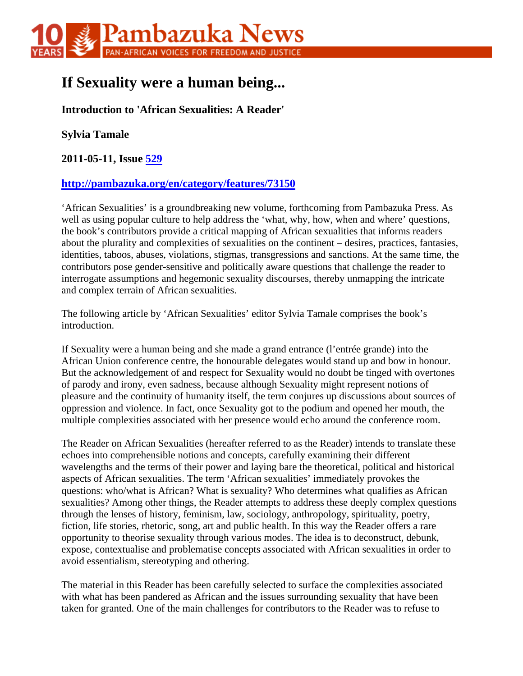# Pambazuka News PAN-AFRICAN VOICES FOR FREEDOM AND JUSTICE

# **If Sexuality were a human being...**

**Introduction to 'African Sexualities: A Reader'**

**Sylvia Tamale**

**2011-05-11, Issue [529](http://www.pambazuka.org/en/issue/529)**

## **[http://pambazuka.org/en/category/features/73150](http://www.pambazuka.org/en/category/features/73150)**

'African Sexualities' is a groundbreaking new volume, forthcoming from Pambazuka Press. As well as using popular culture to help address the 'what, why, how, when and where' questions, the book's contributors provide a critical mapping of African sexualities that informs readers about the plurality and complexities of sexualities on the continent – desires, practices, fantasies, identities, taboos, abuses, violations, stigmas, transgressions and sanctions. At the same time, the contributors pose gender-sensitive and politically aware questions that challenge the reader to interrogate assumptions and hegemonic sexuality discourses, thereby unmapping the intricate and complex terrain of African sexualities.

The following article by 'African Sexualities' editor Sylvia Tamale comprises the book's introduction.

If Sexuality were a human being and she made a grand entrance (l'entrée grande) into the African Union conference centre, the honourable delegates would stand up and bow in honour. But the acknowledgement of and respect for Sexuality would no doubt be tinged with overtones of parody and irony, even sadness, because although Sexuality might represent notions of pleasure and the continuity of humanity itself, the term conjures up discussions about sources of oppression and violence. In fact, once Sexuality got to the podium and opened her mouth, the multiple complexities associated with her presence would echo around the conference room.

The Reader on African Sexualities (hereafter referred to as the Reader) intends to translate these echoes into comprehensible notions and concepts, carefully examining their different wavelengths and the terms of their power and laying bare the theoretical, political and historical aspects of African sexualities. The term 'African sexualities' immediately provokes the questions: who/what is African? What is sexuality? Who determines what qualifies as African sexualities? Among other things, the Reader attempts to address these deeply complex questions through the lenses of history, feminism, law, sociology, anthropology, spirituality, poetry, fiction, life stories, rhetoric, song, art and public health. In this way the Reader offers a rare opportunity to theorise sexuality through various modes. The idea is to deconstruct, debunk, expose, contextualise and problematise concepts associated with African sexualities in order to avoid essentialism, stereotyping and othering.

The material in this Reader has been carefully selected to surface the complexities associated with what has been pandered as African and the issues surrounding sexuality that have been taken for granted. One of the main challenges for contributors to the Reader was to refuse to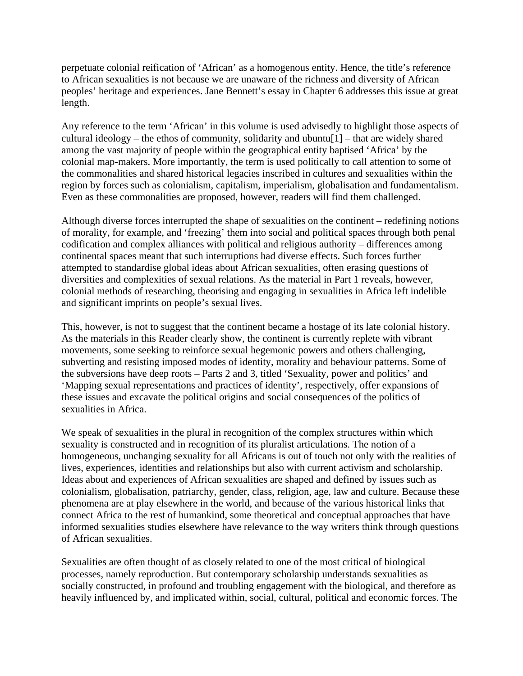perpetuate colonial reification of 'African' as a homogenous entity. Hence, the title's reference to African sexualities is not because we are unaware of the richness and diversity of African peoples' heritage and experiences. Jane Bennett's essay in Chapter 6 addresses this issue at great length.

Any reference to the term 'African' in this volume is used advisedly to highlight those aspects of cultural ideology – the ethos of community, solidarity and ubuntu[1] – that are widely shared among the vast majority of people within the geographical entity baptised 'Africa' by the colonial map-makers. More importantly, the term is used politically to call attention to some of the commonalities and shared historical legacies inscribed in cultures and sexualities within the region by forces such as colonialism, capitalism, imperialism, globalisation and fundamentalism. Even as these commonalities are proposed, however, readers will find them challenged.

Although diverse forces interrupted the shape of sexualities on the continent – redefining notions of morality, for example, and 'freezing' them into social and political spaces through both penal codification and complex alliances with political and religious authority – differences among continental spaces meant that such interruptions had diverse effects. Such forces further attempted to standardise global ideas about African sexualities, often erasing questions of diversities and complexities of sexual relations. As the material in Part 1 reveals, however, colonial methods of researching, theorising and engaging in sexualities in Africa left indelible and significant imprints on people's sexual lives.

This, however, is not to suggest that the continent became a hostage of its late colonial history. As the materials in this Reader clearly show, the continent is currently replete with vibrant movements, some seeking to reinforce sexual hegemonic powers and others challenging, subverting and resisting imposed modes of identity, morality and behaviour patterns. Some of the subversions have deep roots – Parts 2 and 3, titled 'Sexuality, power and politics' and 'Mapping sexual representations and practices of identity', respectively, offer expansions of these issues and excavate the political origins and social consequences of the politics of sexualities in Africa.

We speak of sexualities in the plural in recognition of the complex structures within which sexuality is constructed and in recognition of its pluralist articulations. The notion of a homogeneous, unchanging sexuality for all Africans is out of touch not only with the realities of lives, experiences, identities and relationships but also with current activism and scholarship. Ideas about and experiences of African sexualities are shaped and defined by issues such as colonialism, globalisation, patriarchy, gender, class, religion, age, law and culture. Because these phenomena are at play elsewhere in the world, and because of the various historical links that connect Africa to the rest of humankind, some theoretical and conceptual approaches that have informed sexualities studies elsewhere have relevance to the way writers think through questions of African sexualities.

Sexualities are often thought of as closely related to one of the most critical of biological processes, namely reproduction. But contemporary scholarship understands sexualities as socially constructed, in profound and troubling engagement with the biological, and therefore as heavily influenced by, and implicated within, social, cultural, political and economic forces. The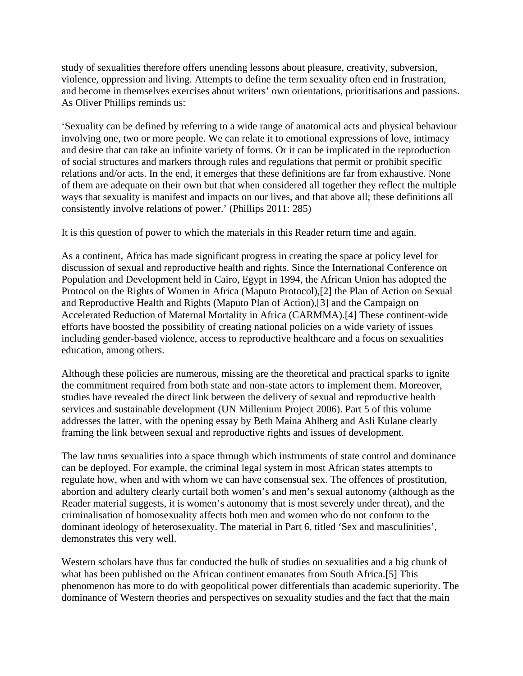study of sexualities therefore offers unending lessons about pleasure, creativity, subversion, violence, oppression and living. Attempts to define the term sexuality often end in frustration, and become in themselves exercises about writers' own orientations, prioritisations and passions. As Oliver Phillips reminds us:

'Sexuality can be defined by referring to a wide range of anatomical acts and physical behaviour involving one, two or more people. We can relate it to emotional expressions of love, intimacy and desire that can take an infinite variety of forms. Or it can be implicated in the reproduction of social structures and markers through rules and regulations that permit or prohibit specific relations and/or acts. In the end, it emerges that these definitions are far from exhaustive. None of them are adequate on their own but that when considered all together they reflect the multiple ways that sexuality is manifest and impacts on our lives, and that above all; these definitions all consistently involve relations of power.' (Phillips 2011: 285)

It is this question of power to which the materials in this Reader return time and again.

As a continent, Africa has made significant progress in creating the space at policy level for discussion of sexual and reproductive health and rights. Since the International Conference on Population and Development held in Cairo, Egypt in 1994, the African Union has adopted the Protocol on the Rights of Women in Africa (Maputo Protocol),[2] the Plan of Action on Sexual and Reproductive Health and Rights (Maputo Plan of Action),[3] and the Campaign on Accelerated Reduction of Maternal Mortality in Africa (CARMMA).[4] These continent-wide efforts have boosted the possibility of creating national policies on a wide variety of issues including gender-based violence, access to reproductive healthcare and a focus on sexualities education, among others.

Although these policies are numerous, missing are the theoretical and practical sparks to ignite the commitment required from both state and non-state actors to implement them. Moreover, studies have revealed the direct link between the delivery of sexual and reproductive health services and sustainable development (UN Millenium Project 2006). Part 5 of this volume addresses the latter, with the opening essay by Beth Maina Ahlberg and Asli Kulane clearly framing the link between sexual and reproductive rights and issues of development.

The law turns sexualities into a space through which instruments of state control and dominance can be deployed. For example, the criminal legal system in most African states attempts to regulate how, when and with whom we can have consensual sex. The offences of prostitution, abortion and adultery clearly curtail both women's and men's sexual autonomy (although as the Reader material suggests, it is women's autonomy that is most severely under threat), and the criminalisation of homosexuality affects both men and women who do not conform to the dominant ideology of heterosexuality. The material in Part 6, titled 'Sex and masculinities', demonstrates this very well.

Western scholars have thus far conducted the bulk of studies on sexualities and a big chunk of what has been published on the African continent emanates from South Africa.[5] This phenomenon has more to do with geopolitical power differentials than academic superiority. The dominance of Western theories and perspectives on sexuality studies and the fact that the main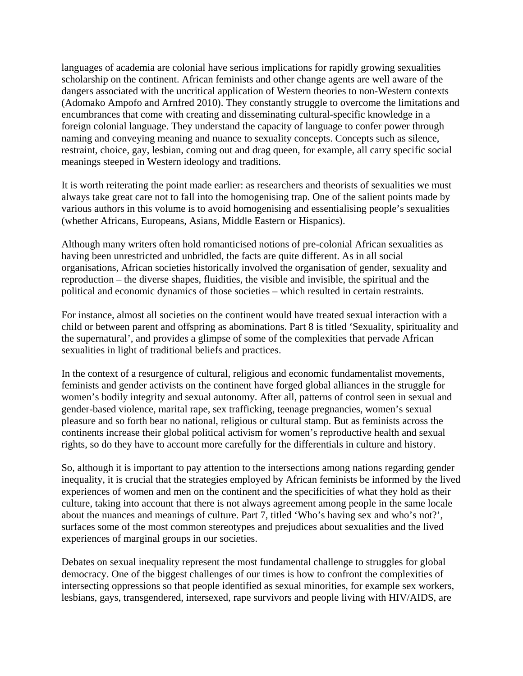languages of academia are colonial have serious implications for rapidly growing sexualities scholarship on the continent. African feminists and other change agents are well aware of the dangers associated with the uncritical application of Western theories to non-Western contexts (Adomako Ampofo and Arnfred 2010). They constantly struggle to overcome the limitations and encumbrances that come with creating and disseminating cultural-specific knowledge in a foreign colonial language. They understand the capacity of language to confer power through naming and conveying meaning and nuance to sexuality concepts. Concepts such as silence, restraint, choice, gay, lesbian, coming out and drag queen, for example, all carry specific social meanings steeped in Western ideology and traditions.

It is worth reiterating the point made earlier: as researchers and theorists of sexualities we must always take great care not to fall into the homogenising trap. One of the salient points made by various authors in this volume is to avoid homogenising and essentialising people's sexualities (whether Africans, Europeans, Asians, Middle Eastern or Hispanics).

Although many writers often hold romanticised notions of pre-colonial African sexualities as having been unrestricted and unbridled, the facts are quite different. As in all social organisations, African societies historically involved the organisation of gender, sexuality and reproduction – the diverse shapes, fluidities, the visible and invisible, the spiritual and the political and economic dynamics of those societies – which resulted in certain restraints.

For instance, almost all societies on the continent would have treated sexual interaction with a child or between parent and offspring as abominations. Part 8 is titled 'Sexuality, spirituality and the supernatural', and provides a glimpse of some of the complexities that pervade African sexualities in light of traditional beliefs and practices.

In the context of a resurgence of cultural, religious and economic fundamentalist movements, feminists and gender activists on the continent have forged global alliances in the struggle for women's bodily integrity and sexual autonomy. After all, patterns of control seen in sexual and gender-based violence, marital rape, sex trafficking, teenage pregnancies, women's sexual pleasure and so forth bear no national, religious or cultural stamp. But as feminists across the continents increase their global political activism for women's reproductive health and sexual rights, so do they have to account more carefully for the differentials in culture and history.

So, although it is important to pay attention to the intersections among nations regarding gender inequality, it is crucial that the strategies employed by African feminists be informed by the lived experiences of women and men on the continent and the specificities of what they hold as their culture, taking into account that there is not always agreement among people in the same locale about the nuances and meanings of culture. Part 7, titled 'Who's having sex and who's not?', surfaces some of the most common stereotypes and prejudices about sexualities and the lived experiences of marginal groups in our societies.

Debates on sexual inequality represent the most fundamental challenge to struggles for global democracy. One of the biggest challenges of our times is how to confront the complexities of intersecting oppressions so that people identified as sexual minorities, for example sex workers, lesbians, gays, transgendered, intersexed, rape survivors and people living with HIV/AIDS, are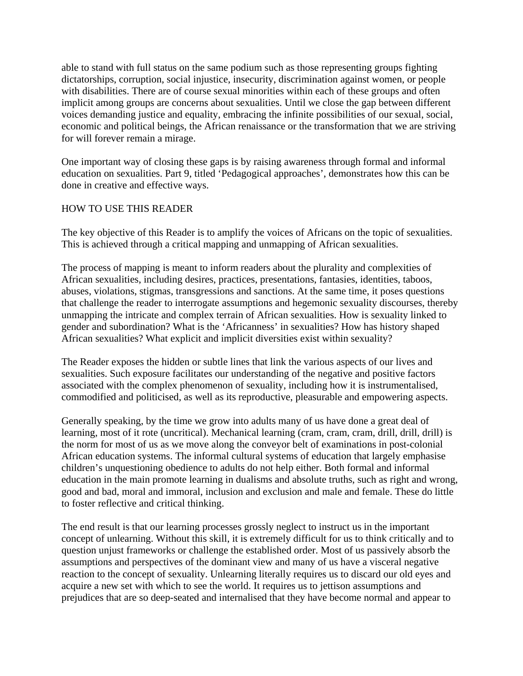able to stand with full status on the same podium such as those representing groups fighting dictatorships, corruption, social injustice, insecurity, discrimination against women, or people with disabilities. There are of course sexual minorities within each of these groups and often implicit among groups are concerns about sexualities. Until we close the gap between different voices demanding justice and equality, embracing the infinite possibilities of our sexual, social, economic and political beings, the African renaissance or the transformation that we are striving for will forever remain a mirage.

One important way of closing these gaps is by raising awareness through formal and informal education on sexualities. Part 9, titled 'Pedagogical approaches', demonstrates how this can be done in creative and effective ways.

### HOW TO USE THIS READER

The key objective of this Reader is to amplify the voices of Africans on the topic of sexualities. This is achieved through a critical mapping and unmapping of African sexualities.

The process of mapping is meant to inform readers about the plurality and complexities of African sexualities, including desires, practices, presentations, fantasies, identities, taboos, abuses, violations, stigmas, transgressions and sanctions. At the same time, it poses questions that challenge the reader to interrogate assumptions and hegemonic sexuality discourses, thereby unmapping the intricate and complex terrain of African sexualities. How is sexuality linked to gender and subordination? What is the 'Africanness' in sexualities? How has history shaped African sexualities? What explicit and implicit diversities exist within sexuality?

The Reader exposes the hidden or subtle lines that link the various aspects of our lives and sexualities. Such exposure facilitates our understanding of the negative and positive factors associated with the complex phenomenon of sexuality, including how it is instrumentalised, commodified and politicised, as well as its reproductive, pleasurable and empowering aspects.

Generally speaking, by the time we grow into adults many of us have done a great deal of learning, most of it rote (uncritical). Mechanical learning (cram, cram, cram, drill, drill, drill) is the norm for most of us as we move along the conveyor belt of examinations in post-colonial African education systems. The informal cultural systems of education that largely emphasise children's unquestioning obedience to adults do not help either. Both formal and informal education in the main promote learning in dualisms and absolute truths, such as right and wrong, good and bad, moral and immoral, inclusion and exclusion and male and female. These do little to foster reflective and critical thinking.

The end result is that our learning processes grossly neglect to instruct us in the important concept of unlearning. Without this skill, it is extremely difficult for us to think critically and to question unjust frameworks or challenge the established order. Most of us passively absorb the assumptions and perspectives of the dominant view and many of us have a visceral negative reaction to the concept of sexuality. Unlearning literally requires us to discard our old eyes and acquire a new set with which to see the world. It requires us to jettison assumptions and prejudices that are so deep-seated and internalised that they have become normal and appear to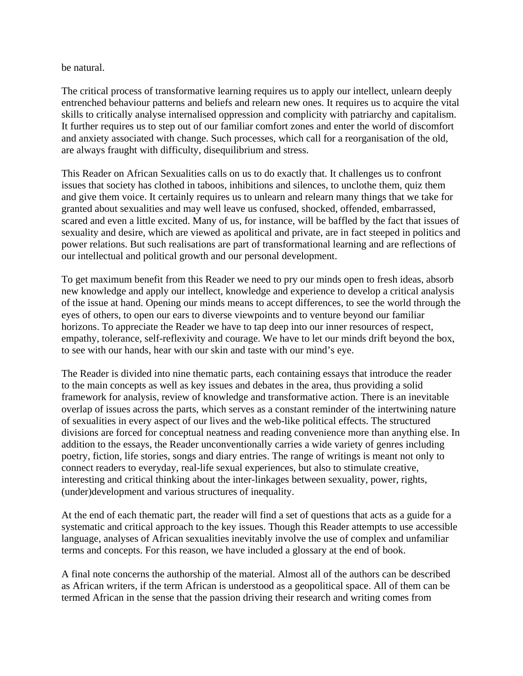be natural.

The critical process of transformative learning requires us to apply our intellect, unlearn deeply entrenched behaviour patterns and beliefs and relearn new ones. It requires us to acquire the vital skills to critically analyse internalised oppression and complicity with patriarchy and capitalism. It further requires us to step out of our familiar comfort zones and enter the world of discomfort and anxiety associated with change. Such processes, which call for a reorganisation of the old, are always fraught with difficulty, disequilibrium and stress.

This Reader on African Sexualities calls on us to do exactly that. It challenges us to confront issues that society has clothed in taboos, inhibitions and silences, to unclothe them, quiz them and give them voice. It certainly requires us to unlearn and relearn many things that we take for granted about sexualities and may well leave us confused, shocked, offended, embarrassed, scared and even a little excited. Many of us, for instance, will be baffled by the fact that issues of sexuality and desire, which are viewed as apolitical and private, are in fact steeped in politics and power relations. But such realisations are part of transformational learning and are reflections of our intellectual and political growth and our personal development.

To get maximum benefit from this Reader we need to pry our minds open to fresh ideas, absorb new knowledge and apply our intellect, knowledge and experience to develop a critical analysis of the issue at hand. Opening our minds means to accept differences, to see the world through the eyes of others, to open our ears to diverse viewpoints and to venture beyond our familiar horizons. To appreciate the Reader we have to tap deep into our inner resources of respect, empathy, tolerance, self-reflexivity and courage. We have to let our minds drift beyond the box, to see with our hands, hear with our skin and taste with our mind's eye.

The Reader is divided into nine thematic parts, each containing essays that introduce the reader to the main concepts as well as key issues and debates in the area, thus providing a solid framework for analysis, review of knowledge and transformative action. There is an inevitable overlap of issues across the parts, which serves as a constant reminder of the intertwining nature of sexualities in every aspect of our lives and the web-like political effects. The structured divisions are forced for conceptual neatness and reading convenience more than anything else. In addition to the essays, the Reader unconventionally carries a wide variety of genres including poetry, fiction, life stories, songs and diary entries. The range of writings is meant not only to connect readers to everyday, real-life sexual experiences, but also to stimulate creative, interesting and critical thinking about the inter-linkages between sexuality, power, rights, (under)development and various structures of inequality.

At the end of each thematic part, the reader will find a set of questions that acts as a guide for a systematic and critical approach to the key issues. Though this Reader attempts to use accessible language, analyses of African sexualities inevitably involve the use of complex and unfamiliar terms and concepts. For this reason, we have included a glossary at the end of book.

A final note concerns the authorship of the material. Almost all of the authors can be described as African writers, if the term African is understood as a geopolitical space. All of them can be termed African in the sense that the passion driving their research and writing comes from